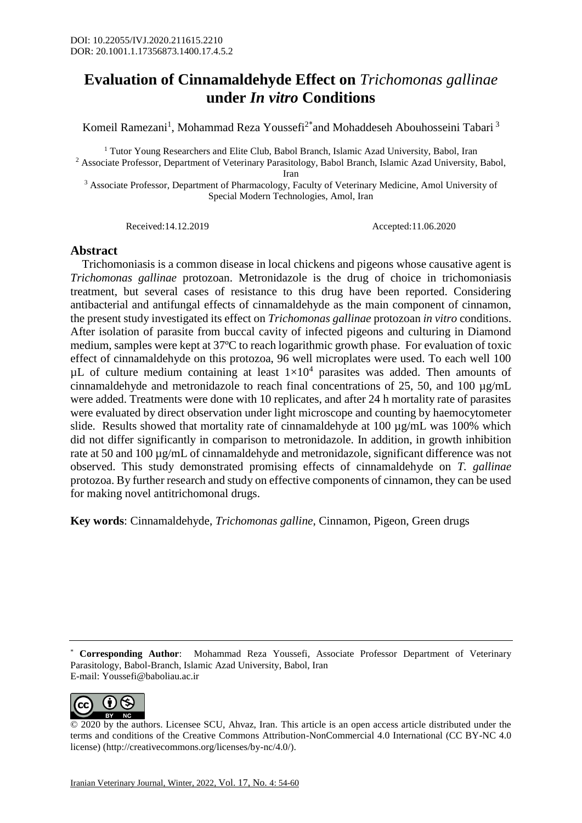## **Evaluation of Cinnamaldehyde Effect on** *Trichomonas gallinae* **under** *In vitro* **Conditions**

Komeil Ramezani<sup>1</sup>, Mohammad Reza Youssefi<sup>2\*</sup>and Mohaddeseh Abouhosseini Tabari<sup>3</sup>

<sup>1</sup> Tutor Young Researchers and Elite Club, Babol Branch, Islamic Azad University, Babol, Iran <sup>2</sup> Associate Professor, Department of Veterinary Parasitology, Babol Branch, Islamic Azad University, Babol,

Iran

<sup>3</sup> Associate Professor, Department of Pharmacology, Faculty of Veterinary Medicine, Amol University of Special Modern Technologies, Amol, Iran

Received:14.12.2019 Accepted:11.06.2020

## **Abstract**

 Trichomoniasis is a common disease in local chickens and pigeons whose causative agent is *Trichomonas gallinae* protozoan. Metronidazole is the drug of choice in trichomoniasis treatment, but several cases of resistance to this drug have been reported. Considering antibacterial and antifungal effects of cinnamaldehyde as the main component of cinnamon, the present study investigated its effect on *Trichomonas gallinae* protozoan *in vitro* conditions. After isolation of parasite from buccal cavity of infected pigeons and culturing in Diamond medium, samples were kept at 37ºC to reach logarithmic growth phase. For evaluation of toxic effect of cinnamaldehyde on this protozoa, 96 well microplates were used. To each well 100  $\mu$ L of culture medium containing at least  $1\times10^4$  parasites was added. Then amounts of cinnamaldehyde and metronidazole to reach final concentrations of 25, 50, and 100 µg/mL were added. Treatments were done with 10 replicates, and after 24 h mortality rate of parasites were evaluated by direct observation under light microscope and counting by haemocytometer slide. Results showed that mortality rate of cinnamaldehyde at 100 µg/mL was 100% which did not differ significantly in comparison to metronidazole. In addition, in growth inhibition rate at 50 and 100 µg/mL of cinnamaldehyde and metronidazole, significant difference was not observed. This study demonstrated promising effects of cinnamaldehyde on *T. gallinae* protozoa. By further research and study on effective components of cinnamon, they can be used for making novel antitrichomonal drugs.

**Key words**: Cinnamaldehyde, *Trichomonas galline*, Cinnamon, Pigeon, Green drugs

<sup>\*</sup> **Corresponding Author**: Mohammad Reza Youssefi, Associate Professor Department of Veterinary Parasitology, Babol-Branch, Islamic Azad University, Babol, Iran E-mail: Youssefi@baboliau.ac.ir



<sup>© 2020</sup> by the authors. Licensee SCU, Ahvaz, Iran. This article is an open access article distributed under the terms and conditions of the Creative Commons Attribution-NonCommercial 4.0 International (CC BY-NC 4.0 license) (http://creativecommons.org/licenses/by-nc/4.0/).